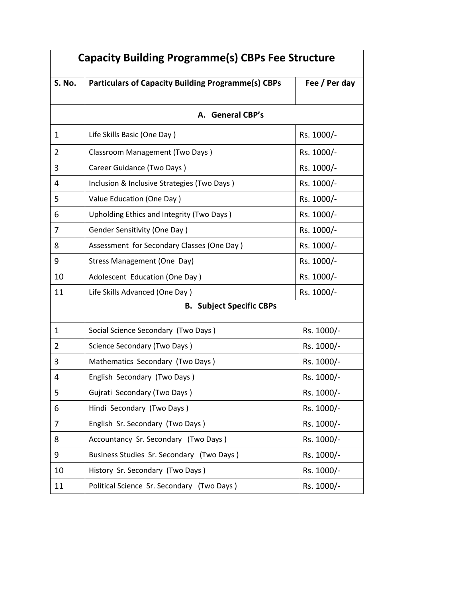| <b>Capacity Building Programme(s) CBPs Fee Structure</b> |                                                           |               |  |
|----------------------------------------------------------|-----------------------------------------------------------|---------------|--|
| <b>S. No.</b>                                            | <b>Particulars of Capacity Building Programme(s) CBPs</b> | Fee / Per day |  |
|                                                          |                                                           |               |  |
|                                                          | A. General CBP's                                          |               |  |
| 1                                                        | Life Skills Basic (One Day)                               | Rs. 1000/-    |  |
| $\overline{2}$                                           | Classroom Management (Two Days)                           | Rs. 1000/-    |  |
| 3                                                        | Career Guidance (Two Days)                                | Rs. 1000/-    |  |
| 4                                                        | Inclusion & Inclusive Strategies (Two Days)               | Rs. 1000/-    |  |
| 5                                                        | Value Education (One Day)                                 | Rs. 1000/-    |  |
| 6                                                        | Upholding Ethics and Integrity (Two Days)                 | Rs. 1000/-    |  |
| 7                                                        | <b>Gender Sensitivity (One Day)</b>                       | Rs. 1000/-    |  |
| 8                                                        | Assessment for Secondary Classes (One Day)                | Rs. 1000/-    |  |
| 9                                                        | <b>Stress Management (One Day)</b>                        | Rs. 1000/-    |  |
| 10                                                       | Adolescent Education (One Day)                            | Rs. 1000/-    |  |
| 11                                                       | Life Skills Advanced (One Day)                            | Rs. 1000/-    |  |
|                                                          | <b>B. Subject Specific CBPs</b>                           |               |  |
| 1                                                        | Social Science Secondary (Two Days)                       | Rs. 1000/-    |  |
| 2                                                        | Science Secondary (Two Days)                              | Rs. 1000/-    |  |
| 3                                                        | Mathematics Secondary (Two Days)                          | Rs. 1000/-    |  |
| 4                                                        | English Secondary (Two Days)                              | Rs. 1000/-    |  |
| 5                                                        | Gujrati Secondary (Two Days)                              | Rs. 1000/-    |  |
| 6                                                        | Hindi Secondary (Two Days)                                | Rs. 1000/-    |  |
| 7                                                        | English Sr. Secondary (Two Days)                          | Rs. 1000/-    |  |
| 8                                                        | Accountancy Sr. Secondary (Two Days)                      | Rs. 1000/-    |  |
| 9                                                        | Business Studies Sr. Secondary (Two Days)                 | Rs. 1000/-    |  |
| 10                                                       | History Sr. Secondary (Two Days)                          | Rs. 1000/-    |  |
| 11                                                       | Political Science Sr. Secondary (Two Days)                | Rs. 1000/-    |  |